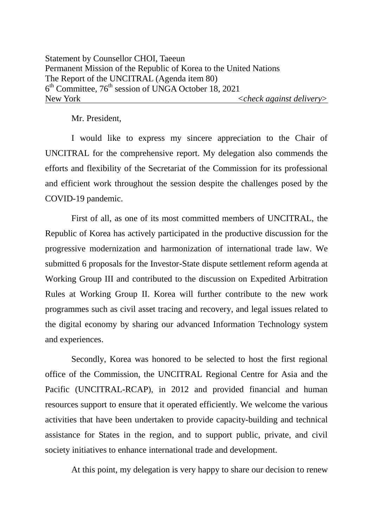Mr. President,

I would like to express my sincere appreciation to the Chair of UNCITRAL for the comprehensive report. My delegation also commends the efforts and flexibility of the Secretariat of the Commission for its professional and efficient work throughout the session despite the challenges posed by the COVID-19 pandemic.

First of all, as one of its most committed members of UNCITRAL, the Republic of Korea has actively participated in the productive discussion for the progressive modernization and harmonization of international trade law. We submitted 6 proposals for the Investor-State dispute settlement reform agenda at Working Group III and contributed to the discussion on Expedited Arbitration Rules at Working Group II. Korea will further contribute to the new work programmes such as civil asset tracing and recovery, and legal issues related to the digital economy by sharing our advanced Information Technology system and experiences.

Secondly, Korea was honored to be selected to host the first regional office of the Commission, the UNCITRAL Regional Centre for Asia and the Pacific (UNCITRAL-RCAP), in 2012 and provided financial and human resources support to ensure that it operated efficiently. We welcome the various activities that have been undertaken to provide capacity-building and technical assistance for States in the region, and to support public, private, and civil society initiatives to enhance international trade and development.

At this point, my delegation is very happy to share our decision to renew